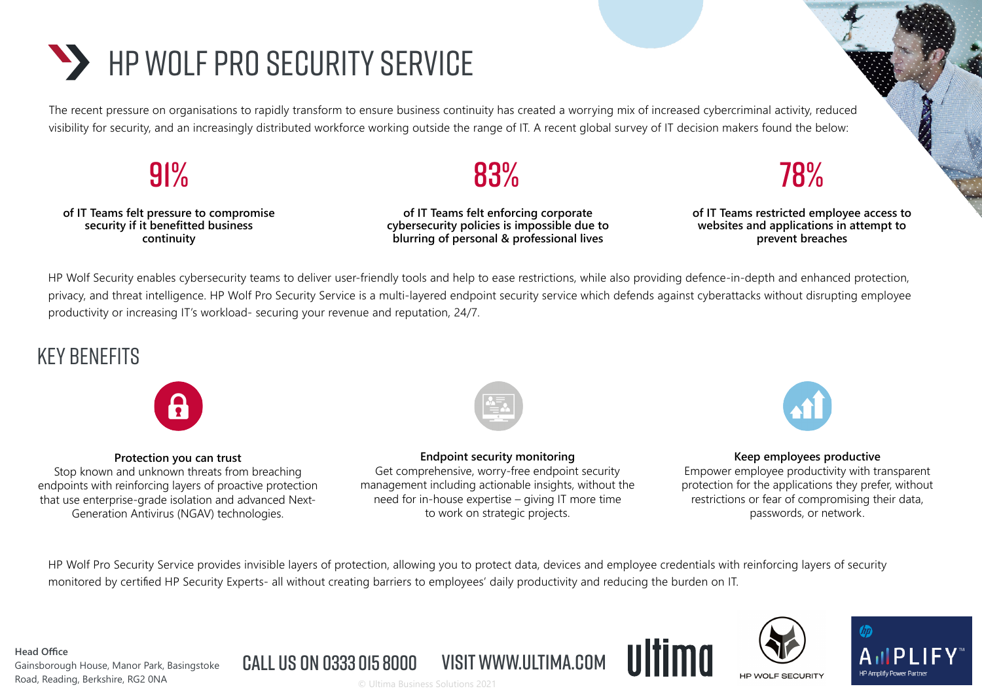# **HP WOLF PRO SECURITY SERVICE**

The recent pressure on organisations to rapidly transform to ensure business continuity has created a worrying mix of increased cybercriminal activity, reduced visibility for security, and an increasingly distributed workforce working outside the range of IT. A recent global survey of IT decision makers found the below:



**of IT Teams felt pressure to compromise security if it benefitted business continuity**

**of IT Teams felt enforcing corporate cybersecurity policies is impossible due to blurring of personal & professional lives**

## 83% 78%

**of IT Teams restricted employee access to websites and applications in attempt to prevent breaches**

HP Wolf Security enables cybersecurity teams to deliver user-friendly tools and help to ease restrictions, while also providing defence-in-depth and enhanced protection, privacy, and threat intelligence. HP Wolf Pro Security Service is a multi-layered endpoint security service which defends against cyberattacks without disrupting employee productivity or increasing IT's workload- securing your revenue and reputation, 24/7.

## key benefits



#### **Protection you can trust**

Stop known and unknown threats from breaching endpoints with reinforcing layers of proactive protection that use enterprise-grade isolation and advanced Next-Generation Antivirus (NGAV) technologies.



**Endpoint security monitoring**

Get comprehensive, worry-free endpoint security management including actionable insights, without the need for in-house expertise – giving IT more time to work on strategic projects.



#### **Keep employees productive**

Empower employee productivity with transparent protection for the applications they prefer, without restrictions or fear of compromising their data, passwords, or network.

HP Wolf Pro Security Service provides invisible layers of protection, allowing you to protect data, devices and employee credentials with reinforcing layers of security monitored by certified HP Security Experts- all without creating barriers to employees' daily productivity and reducing the burden on IT.